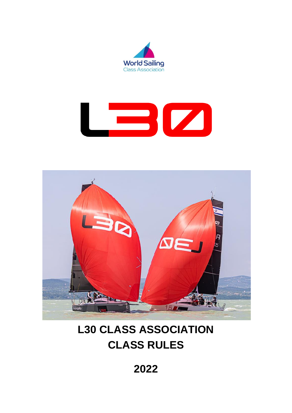





# **L30 CLASS ASSOCIATION CLASS RULES**

**2022**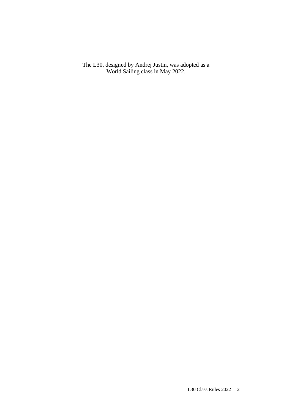The L30, designed by Andrej Justin, was adopted as a World Sailing class in May 2022.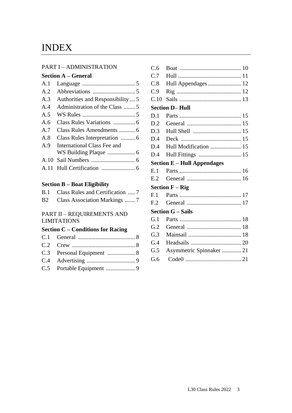## INDEX

#### PART I – ADMINISTRATION

#### **Section A – General**

| A.1 |                                   |  |
|-----|-----------------------------------|--|
| A.2 |                                   |  |
| A.3 | Authorities and Responsibility  5 |  |
| A.4 | Administration of the Class 5     |  |
| A.5 |                                   |  |
| A.6 |                                   |  |
| A.7 |                                   |  |
| A.8 |                                   |  |
| A.9 | International Class Fee and       |  |
|     |                                   |  |
|     |                                   |  |
|     |                                   |  |

#### **Section B – Boat Eligibility**

| B.1 Class Rules and Certification  7 |
|--------------------------------------|
| B2 Class Association Markings 7      |

### PART II – REQUIREMENTS AND LIMITATIONS

## **Section C – Conditions for Racing**

| Hull Appendages 12                  |
|-------------------------------------|
|                                     |
|                                     |
| <b>Section D-Hull</b>               |
|                                     |
| D.2                                 |
| D.3                                 |
| D.4                                 |
| Hull Modification  15<br>D.4        |
| Hull Fittings  15<br>D.4            |
| <b>Section E - Hull Appendages</b>  |
|                                     |
|                                     |
| <b>Section <math>F - Rig</math></b> |
|                                     |
|                                     |
| <b>Section G - Sails</b>            |
|                                     |
|                                     |
|                                     |
|                                     |
| Asymmetric Spinnaker  21            |
|                                     |
|                                     |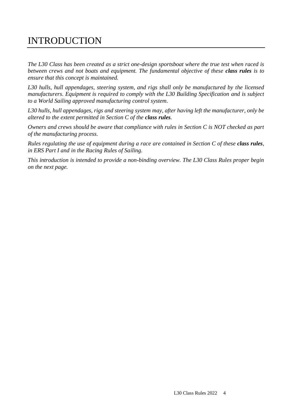## INTRODUCTION

*The L30 Class has been created as a strict one-design sportsboat where the true test when raced is between crews and not boats and equipment. The fundamental objective of these class rules is to ensure that this concept is maintained.*

*L30 hulls, hull appendages, steering system, and rigs shall only be manufactured by the licensed manufacturers. Equipment is required to comply with the L30 Building Specification and is subject to a World Sailing approved manufacturing control system.*

*L30 hulls, hull appendages, rigs and steering system may, after having left the manufacturer, only be altered to the extent permitted in Section C of the class rules.*

*Owners and crews should be aware that compliance with rules in Section C is NOT checked as part of the manufacturing process.*

*Rules regulating the use of equipment during a race are contained in Section C of these class rules, in ERS Part I and in the Racing Rules of Sailing.*

*This introduction is intended to provide a non-binding overview. The L30 Class Rules proper begin on the next page.*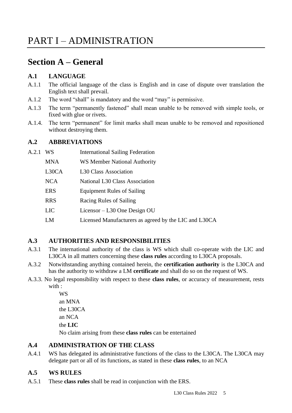## **Section A – General**

## **A.1 LANGUAGE**

- A.1.1 The official language of the class is English and in case of dispute over translation the English text shall prevail.
- A.1.2 The word "shall" is mandatory and the word "may" is permissive.
- A.1.3 The term "permanently fastened" shall mean unable to be removed with simple tools, or fixed with glue or rivets.
- A.1.4. The term "permanent" for limit marks shall mean unable to be removed and repositioned without destroying them.

## **A.2 ABBREVIATIONS**

| A.2.1 | WS         | <b>International Sailing Federation</b> |
|-------|------------|-----------------------------------------|
|       | <b>MNA</b> | WS Member National Authority            |
|       | L30CA      | L <sub>30</sub> Class Association       |
|       | <b>NCA</b> | National L30 Class Association          |
|       | <b>ERS</b> | <b>Equipment Rules of Sailing</b>       |
|       | <b>RRS</b> | Racing Rules of Sailing                 |
|       | LIC        | Licensor – L30 One Design OU            |

LM Licensed Manufacturers as agreed by the LIC and L30CA

## **A.3 AUTHORITIES AND RESPONSIBILITIES**

- A.3.1 The international authority of the class is WS which shall co-operate with the LIC and L30CA in all matters concerning these **class rules** according to L30CA proposals.
- A.3.2 Notwithstanding anything contained herein, the **certification authority** is the L30CA and has the authority to withdraw a LM **certificate** and shall do so on the request of WS.
- A.3.3. No legal responsibility with respect to these **class rules**, or accuracy of measurement, rests with :

WS an MNA the L30CA an NCA the **LIC** No claim arising from these **class rules** can be entertained

## **A.4 ADMINISTRATION OF THE CLASS**

A.4.1 WS has delegated its administrative functions of the class to the L30CA. The L30CA may delegate part or all of its functions, as stated in these **class rules**, to an NCA

## **A.5 WS RULES**

A.5.1 These **class rules** shall be read in conjunction with the ERS.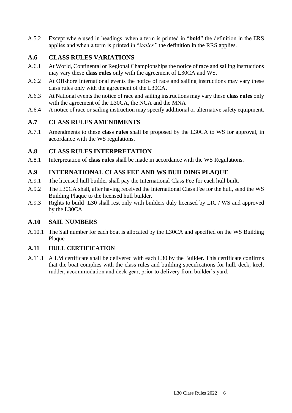A.5.2 Except where used in headings, when a term is printed in "**bold**" the definition in the ERS applies and when a term is printed in "*italics"* the definition in the RRS applies.

## **A.6 CLASS RULES VARIATIONS**

- A.6.1 At World, Continental or Regional Championships the notice of race and sailing instructions may vary these **class rules** only with the agreement of L30CA and WS.
- A.6.2 At Offshore International events the notice of race and sailing instructions may vary these class rules only with the agreement of the L30CA.
- A.6.3 At National events the notice of race and sailing instructions may vary these **class rules** only with the agreement of the L30CA, the NCA and the MNA
- A.6.4 A notice of race or sailing instruction may specify additional or alternative safety equipment.

## **A.7 CLASS RULES AMENDMENTS**

A.7.1 Amendments to these **class rules** shall be proposed by the L30CA to WS for approval, in accordance with the WS regulations.

## **A.8 CLASS RULES INTERPRETATION**

A.8.1 Interpretation of **class rules** shall be made in accordance with the WS Regulations.

## **A.9 INTERNATIONAL CLASS FEE AND WS BUILDING PLAQUE**

- A.9.1 The licensed hull builder shall pay the International Class Fee for each hull built.
- A.9.2 The L30CA shall, after having received the International Class Fee for the hull, send the WS Building Plaque to the licensed hull builder.
- A.9.3 Rights to build L30 shall rest only with builders duly licensed by LIC / WS and approved by the L30CA.

## **A.10 SAIL NUMBERS**

A.10.1 The Sail number for each boat is allocated by the L30CA and specified on the WS Building Plaque

## **A.11 HULL CERTIFICATION**

A.11.1 A LM certificate shall be delivered with each L30 by the Builder. This certificate confirms that the boat complies with the class rules and building specifications for hull, deck, keel, rudder, accommodation and deck gear, prior to delivery from builder's yard.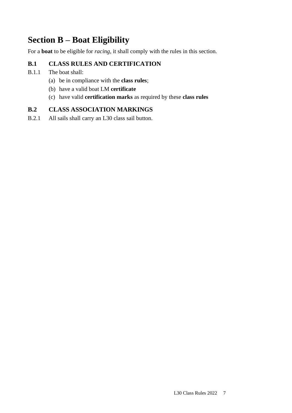## **Section B – Boat Eligibility**

For a **boat** to be eligible for *racing*, it shall comply with the rules in this section.

## **B.1 CLASS RULES AND CERTIFICATION**

- B.1.1 The boat shall:
	- (a) be in compliance with the **class rules**;
	- (b) have a valid boat LM **certificate**
	- (c) have valid **certification marks** as required by these **class rules**

## **B.2 CLASS ASSOCIATION MARKINGS**

B.2.1 All sails shall carry an L30 class sail button.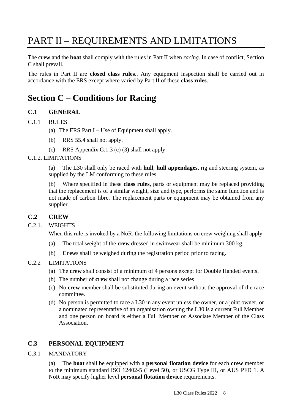# PART II – REQUIREMENTS AND LIMITATIONS

The **crew** and the **boat** shall comply with the rules in Part II when *racing*. In case of conflict, Section C shall prevail.

The rules in Part II are **closed class rules**.. Any equipment inspection shall be carried out in accordance with the ERS except where varied by Part II of these **class rules**.

## **Section C – Conditions for Racing**

## **C.1 GENERAL**

#### C.1.1 RULES

- (a) The ERS Part  $I Use of Equipment shall apply.$
- (b) RRS 55.4 shall not apply.
- (c) RRS Appendix G.1.3 (c) (3) shall not apply.

#### C.1.2. LIMITATIONS

(a) The L30 shall only be raced with **hull**, **hull appendages**, rig and steering system, as supplied by the LM conforming to these rules.

(b) Where specified in these **class rules**, parts or equipment may be replaced providing that the replacement is of a similar weight, size and type, performs the same function and is not made of carbon fibre. The replacement parts or equipment may be obtained from any supplier.

#### **C.2 CREW**

#### C.2.1. WEIGHTS

When this rule is invoked by a NoR, the following limitations on crew weighing shall apply:

- (a) The total weight of the **crew** dressed in swimwear shall be minimum 300 kg.
- (b) **Crew**s shall be weighed during the registration period prior to racing.

#### C.2.2 LIMITATIONS

- (a) The **crew** shall consist of a minimum of 4 persons except for Double Handed events.
- (b) The number of **crew** shall not change during a race series
- (c) No **crew** member shall be substituted during an event without the approval of the race committee.
- (d) No person is permitted to race a L30 in any event unless the owner, or a joint owner, or a nominated representative of an organisation owning the L30 is a current Full Member and one person on board is either a Full Member or Associate Member of the Class Association.

#### **C.3 PERSONAL EQUIPMENT**

#### C.3.1 MANDATORY

(a) The **boat** shall be equipped with a **personal flotation device** for each **crew** member to the minimum standard ISO 12402-5 (Level 50), or USCG Type III, or AUS PFD 1. A NoR may specify higher level **personal flotation device** requirements.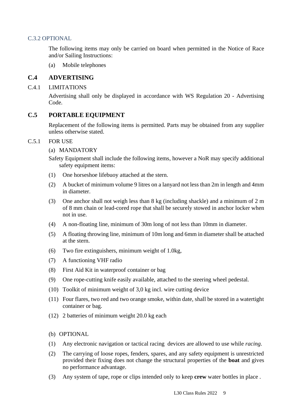#### C.3.2 OPTIONAL

The following items may only be carried on board when permitted in the Notice of Race and/or Sailing Instructions:

(a) Mobile telephones

### **C.4 ADVERTISING**

#### C.4.1 LIMITATIONS

Advertising shall only be displayed in accordance with WS Regulation 20 - Advertising Code.

#### **C.5 PORTABLE EQUIPMENT**

Replacement of the following items is permitted. Parts may be obtained from any supplier unless otherwise stated.

#### C.5.1 FOR USE

#### (a) MANDATORY

Safety Equipment shall include the following items, however a NoR may specify additional safety equipment items:

- (1) One horseshoe lifebuoy attached at the stern.
- (2) A bucket of minimum volume 9 litres on a lanyard not less than 2m in length and 4mm in diameter.
- (3) One anchor shall not weigh less than 8 kg (including shackle) and a minimum of 2 m of 8 mm chain or lead-cored rope that shall be securely stowed in anchor locker when not in use.
- (4) A non-floating line, minimum of 30m long of not less than 10mm in diameter.
- (5) A floating throwing line, minimum of 10m long and 6mm in diameter shall be attached at the stern.
- (6) Two fire extinguishers, minimum weight of 1.0kg,
- (7) A functioning VHF radio
- (8) First Aid Kit in waterproof container or bag
- (9) One rope-cutting knife easily available, attached to the steering wheel pedestal.
- (10) Toolkit of minimum weight of 3,0 kg incl. wire cutting device
- (11) Four flares, two red and two orange smoke, within date, shall be stored in a watertight container or bag.
- (12) 2 batteries of minimum weight 20.0 kg each

#### (b) OPTIONAL

- (1) Any electronic navigation or tactical racing devices are allowed to use while *racing*.
- (2) The carrying of loose ropes, fenders, spares, and any safety equipment is unrestricted provided their fixing does not change the structural properties of the **boat** and gives no performance advantage.
- (3) Any system of tape, rope or clips intended only to keep **crew** water bottles in place .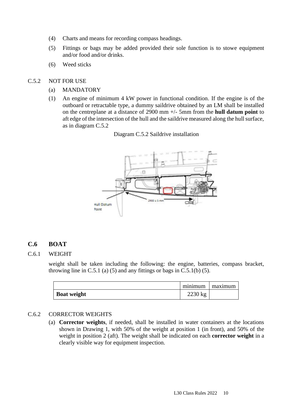- (4) Charts and means for recording compass headings.
- (5) Fittings or bags may be added provided their sole function is to stowe equipment and/or food and/or drinks.
- (6) Weed sticks

#### C.5.2 NOT FOR USE

- (a) MANDATORY
- (1) An engine of minimum 4 kW power in functional condition. If the engine is of the outboard or retractable type, a dummy saildrive obtained by an LM shall be installed on the centreplane at a distance of 2900 mm +/- 5mm from the **hull datum point** to aft edge of the intersection of the hull and the saildrive measured along the hull surface, as in diagram C.5.2

#### Diagram C.5.2 Saildrive installation



#### **C.6 BOAT**

#### C.6.1 WEIGHT

weight shall be taken including the following: the engine, batteries, compass bracket, throwing line in C.5.1 (a) (5) and any fittings or bags in C.5.1(b) (5).

|                    | minimum   | maximum |
|--------------------|-----------|---------|
| <b>Boat weight</b> | $2230$ kg |         |

#### C.6.2 CORRECTOR WEIGHTS

(a) **Corrector weights**, if needed, shall be installed in water containers at the locations shown in Drawing 1, with 50% of the weight at position 1 (in front), and 50% of the weight in position 2 (aft). The weight shall be indicated on each **corrector weight** in a clearly visible way for equipment inspection.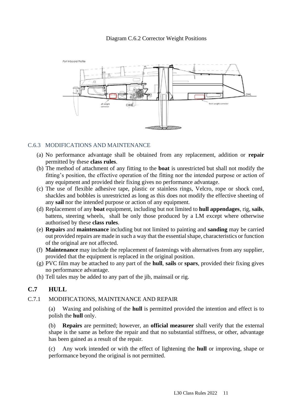#### Diagram C.6.2 Corrector Weight Positions



#### C.6.3 MODIFICATIONS AND MAINTENANCE

- (a) No performance advantage shall be obtained from any replacement, addition or **repair** permitted by these **class rules**.
- (b) The method of attachment of any fitting to the **boat** is unrestricted but shall not modify the fitting's position, the effective operation of the fitting nor the intended purpose or action of any equipment and provided their fixing gives no performance advantage.
- (c) The use of flexible adhesive tape, plastic or stainless rings, Velcro, rope or shock cord, shackles and bobbles is unrestricted as long as this does not modify the effective sheeting of any **sail** nor the intended purpose or action of any equipment.
- (d) Replacement of any **boat** equipment, including but not limited to **hull appendages**, rig, **sails**, battens, steering wheels, shall be only those produced by a LM except where otherwise authorised by these **class rules**.
- (e) **Repairs** and **maintenance** including but not limited to painting and **sanding** may be carried out provided repairs are made in such a way that the essential shape, characteristics or function of the original are not affected.
- (f) **Maintenance** may include the replacement of fastenings with alternatives from any supplier, provided that the equipment is replaced in the original position.
- (g) PVC film may be attached to any part of the **hull**, **sails** or **spars**, provided their fixing gives no performance advantage.
- (h) Tell tales may be added to any part of the jib, mainsail or rig.

## **C.7 HULL**

#### C.7.1 MODIFICATIONS, MAINTENANCE AND REPAIR

(a) Waxing and polishing of the **hull** is permitted provided the intention and effect is to polish the **hull** only.

(b) **Repairs** are permitted; however, an **official measurer** shall verify that the external shape is the same as before the repair and that no substantial stiffness, or other, advantage has been gained as a result of the repair.

(c) Any work intended or with the effect of lightening the **hull** or improving, shape or performance beyond the original is not permitted.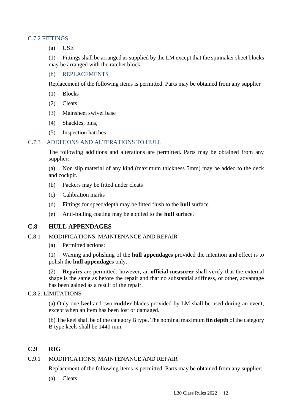#### C.7.2 FITTINGS

(a) USE

(1) Fittings shall be arranged as supplied by the LM except that the spinnaker sheet blocks may be arranged with the ratchet block

#### (b) REPLACEMENTS

Replacement of the following items is permitted. Parts may be obtained from any supplier

- (1) Blocks
- (2) Cleats
- (3) Mainsheet swivel base
- (4) Shackles, pins,
- (5) Inspection hatches

#### C.7.3 ADDITIONS AND ALTERATIONS TO HULL

The following additions and alterations are permitted. Parts may be obtained from any supplier:

(a) Non slip material of any kind (maximum thickness 5mm) may be added to the deck and cockpit.

- (b) Packers may be fitted under cleats
- (c) Calibration marks
- (d) Fittings for speed/depth may be fitted flush to the **hull** surface.
- (e) Anti-fouling coating may be applied to the **hull** surface.

## **C.8 HULL APPENDAGES**

#### C.8.1 MODIFICATIONS, MAINTENANCE AND REPAIR

(a) Permitted actions:

(1) Waxing and polishing of the **hull appendages** provided the intention and effect is to polish the **hull appendages** only.

(2) **Repairs** are permitted; however, an **official measurer** shall verify that the external shape is the same as before the repair and that no substantial stiffness, or other, advantage has been gained as a result of the repair.

#### C.8.2. LIMITATIONS

(a) Only one **keel** and two **rudder** blades provided by LM shall be used during an event, except when an item has been lost or damaged.

(b) The keel shall be of the category B type. The nominal maximum **fin depth** of the category B type keels shall be 1440 mm.

#### **C.9 RIG**

#### C.9.1 MODIFICATIONS, MAINTENANCE AND REPAIR

Replacement of the following items is permitted. Parts may be obtained from any supplier:

(a) Cleats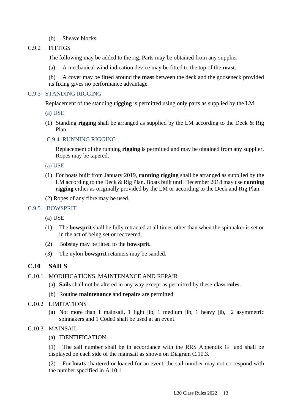(b) Sheave blocks

#### C.9.2 FITTIGS

The following may be added to the rig. Parts may be obtained from any supplier:

(a) A mechanical wind indication device may be fitted to the top of the **mast**.

(b) A cover may be fitted around the **mast** between the deck and the gooseneck provided its fixing gives no performance advantage.

#### C.9.3 STANDING RIGGING

Replacement of the standing **rigging** is permitted using only parts as supplied by the LM.

- (a) USE
- (1) Standing **rigging** shall be arranged as supplied by the LM according to the Deck & Rig Plan.

#### C.9.4 RUNNING RIGGING

Replacement of the running **rigging** is permitted and may be obtained from any supplier. Ropes may be tapered.

- (a) USE
- (1) For boats built from January 2019, **running rigging** shall be arranged as supplied by the LM according to the Deck & Rig Plan. Boats built until December 2018 may use **running rigging** either as originally provided by the LM or according to the Deck and Rig Plan.
- (2) Ropes of any fibre may be used.

#### C.9.5 BOWSPRIT

- (a) USE
- (1) The **bowsprit** shall be fully retracted at all times other than when the spinnaker is set or in the act of being set or recovered.
- (2) Bobstay may be fitted to the **bowsprit.**
- (3) The nylon **bowsprit** retainers may be sanded.

#### **C.10 SAILS**

#### C.10.1 MODIFICATIONS, MAINTENANCE AND REPAIR

- (a) **Sails** shall not be altered in any way except as permitted by these **class rules**.
- (b) Routine **maintenance** and **repairs** are permitted

#### C.10.2 LIMITATIONS

(a) Not more than 1 mainsail, 1 light jib, 1 medium jib, 1 heavy jib, 2 asymmetric spinnakers and 1 Code0 shall be used at an event.

#### C.10.3 MAINSAIL

(a) IDENTIFICATION

(1) The sail number shall be in accordance with the RRS Appendix G and shall be displayed on each side of the mainsail as shown on Diagram C.10.3.

(2) For **boats** chartered or loaned for an event, the sail number may not correspond with the number specified in A.10.1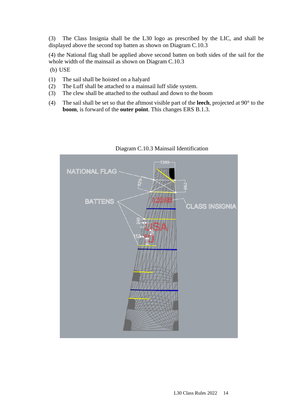(3) The Class Insignia shall be the L30 logo as prescribed by the LIC, and shall be displayed above the second top batten as shown on Diagram C.10.3

(4) the National flag shall be applied above second batten on both sides of the sail for the whole width of the mainsail as shown on Diagram C.10.3

- (b) USE
- (1) The sail shall be hoisted on a halyard
- (2) The Luff shall be attached to a mainsail luff slide system.
- (3) The clew shall be attached to the outhaul and down to the boom
- (4) The sail shall be set so that the aftmost visible part of the **leech**, projected at 90° to the **boom**, is forward of the **outer point**. This changes ERS B.1.3.



Diagram C.10.3 Mainsail Identification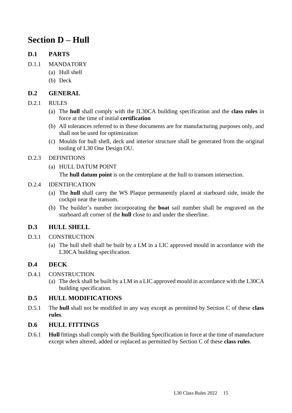## **Section D – Hull**

## **D.1 PARTS**

- D.1.1 MANDATORY
	- (a) Hull shell
	- (b) Deck

## **D.2 GENERAL**

### D.2.1 RULES

- (a) The **hull** shall comply with the IL30CA building specification and the **class rules** in force at the time of initial **certification**
- (b) All tolerances referred to in these documents are for manufacturing purposes only, and shall not be used for optimization
- (c) Moulds for hull shell, deck and interior structure shall be generated from the original tooling of L30 One Design OU.

### D.2.3 DEFINITIONS

(a) HULL DATUM POINT

The **hull datum point** is on the centreplane at the hull to transom intersection.

### D.2.4 IDENTIFICATION

- (a) The **hull** shall carry the WS Plaque permanently placed at starboard side, inside the cockpit near the transom.
- (b) The builder's number incorporating the **boat** sail number shall be engraved on the starboard aft corner of the **hull** close to and under the sheerline.

## **D.3 HULL SHELL**

- D.3.1 CONSTRUCTION
	- (a) The hull shell shall be built by a LM in a LIC approved mould in accordance with the L30CA building specification.

## **D.4 DECK**

- D.4.1 CONSTRUCTION
	- (a) The deck shall be built by a LM in a LIC approved mould in accordance with the L30CA building specification.

## **D.5 HULL MODIFICATIONS**

D.5.1 The **hull** shall not be modified in any way except as permitted by Section C of these **class rules**.

#### **D.6 HULL FITTINGS**

D.6.1 **Hull** fittings shall comply with the Building Specification in force at the time of manufacture except when altered, added or replaced as permitted by Section C of these **class rules**.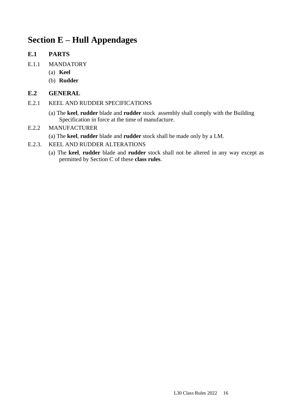## **Section E – Hull Appendages**

## **E.1 PARTS**

- E.1.1 MANDATORY
	- (a) **Keel**
	- (b) **Rudder**

## **E.2 GENERAL**

- E.2.1 KEEL AND RUDDER SPECIFICATIONS
	- (a) The **keel**, **rudder** blade and **rudder** stock assembly shall comply with the Building Specification in force at the time of manufacture.

## E.2.2 MANUFACTURER

- (a) The **keel**, **rudder** blade and **rudder** stock shall be made only by a LM.
- E.2.3. KEEL AND RUDDER ALTERATIONS
	- (a) The **keel**, **rudder** blade and **rudder** stock shall not be altered in any way except as permitted by Section C of these **class rules**.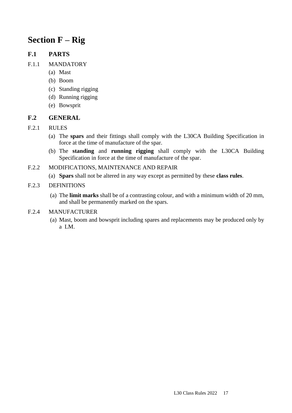## **Section F – Rig**

## **F.1 PARTS**

- F.1.1 MANDATORY
	- (a) Mast
	- (b) Boom
	- (c) Standing rigging
	- (d) Running rigging
	- (e) Bowsprit

## **F.2 GENERAL**

- F.2.1 RULES
	- (a) The **spars** and their fittings shall comply with the L30CA Building Specification in force at the time of manufacture of the spar.
	- (b) The **standing** and **running rigging** shall comply with the L30CA Building Specification in force at the time of manufacture of the spar.
- F.2.2 MODIFICATIONS, MAINTENANCE AND REPAIR
	- (a) **Spars** shall not be altered in any way except as permitted by these **class rules**.

### F.2.3 DEFINITIONS

(a) The **limit marks** shall be of a contrasting colour, and with a minimum width of 20 mm, and shall be permanently marked on the spars.

#### F.2.4 MANUFACTURER

(a) Mast, boom and bowsprit including spares and replacements may be produced only by a LM.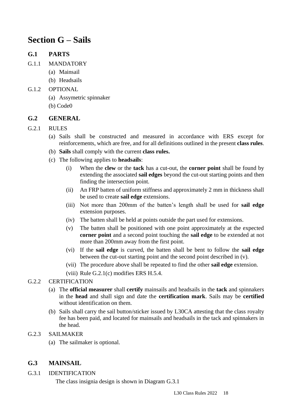## **Section G – Sails**

## **G.1 PARTS**

- G.1.1 MANDATORY
	- (a) Mainsail
	- (b) Headsails

### G.1.2 OPTIONAL

- (a) Assymetric spinnaker
- (b) Code0

## **G.2 GENERAL**

### G.2.1 RULES

- (a) Sails shall be constructed and measured in accordance with ERS except for reinforcements, which are free, and for all definitions outlined in the present **class rules**.
- (b) **Sails** shall comply with the current **class rules.**
- (c) The following applies to **headsails**:
	- (i) When the **clew** or the **tack** has a cut-out, the **corner point** shall be found by extending the associated **sail edges** beyond the cut-out starting points and then finding the intersection point.
	- (ii) An FRP batten of uniform stiffness and approximately 2 mm in thickness shall be used to create **sail edge** extensions.
	- (iii) Not more than 200mm of the batten's length shall be used for **sail edge** extension purposes.
	- (iv) The batten shall be held at points outside the part used for extensions.
	- (v) The batten shall be positioned with one point approximately at the expected **corner point** and a second point touching the **sail edge** to be extended at not more than 200mm away from the first point.
	- (vi) If the **sail edge** is curved, the batten shall be bent to follow the **sail edge** between the cut-out starting point and the second point described in (v).
	- (vii) The procedure above shall be repeated to find the other **sail edge** extension.
	- (viii) Rule  $G(2.1(c)$  modifies ERS H.5.4.

## G.2.2 CERTIFICATION

- (a) The **official measurer** shall **certify** mainsails and headsails in the **tack** and spinnakers in the **head** and shall sign and date the **certification mark**. Sails may be **certified** without identification on them.
- (b) Sails shall carry the sail button/sticker issued by L30CA attesting that the class royalty fee has been paid, and located for mainsails and headsails in the tack and spinnakers in the head.

#### G.2.3 SAILMAKER

(a) The sailmaker is optional.

## **G.3 MAINSAIL**

G.3.1 IDENTIFICATION

The class insignia design is shown in Diagram G.3.1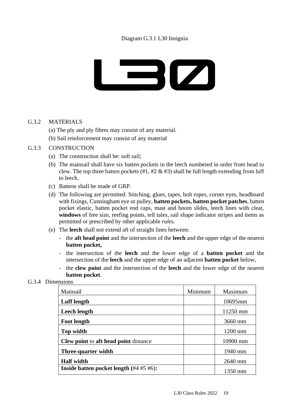

## G.3.2 MATERIALS

- (a) The ply and ply fibres may consist of any material.
- (b) Sail reinforcement may consist of any material

#### G.3.3 CONSTRUCTION

- (a) The construction shall be: soft sail;
- (b) The mainsail shall have six batten pockets in the leech numbered in order from head to clew. The top three batten pockets  $(\#1, \#2 \& \#3)$  shall be full length extending from luff to leech.
- (c) Battens shall be made of GRP.
- (d) The following are permitted: Stitching, glues, tapes, bolt ropes, corner eyes, headboard with fixings, Cunningham eye or pulley, **batten pockets, batten pocket patches**, batten pocket elastic, batten pocket end caps, mast and boom slides, leech lines with cleat, **windows** of free size, reefing points, tell tales, sail shape indicator stripes and items as permitted or prescribed by other applicable *rules*.
- (e) The **leech** shall not extend aft of straight lines between:
	- the **aft head point** and the intersection of the **leech** and the upper edge of the nearest **batten pocket,**
	- the intersection of the **leech** and the lower edge of a **batten pocket** and the intersection of the **leech** and the upper edge of an adjacent **batten pocket** below,
	- the **clew point** and the intersection of the **leech** and the lower edge of the nearest **batten pocket**.

#### G.3.4 Dimensions

| Mainsail                                      | Minimum | Maximum  |
|-----------------------------------------------|---------|----------|
| Luff length                                   |         | 10695mm  |
| <b>Leech length</b>                           |         | 11250 mm |
| <b>Foot length</b>                            |         | 3660 mm  |
| Top width                                     |         | 1200 mm  |
| <b>Clew point to aft head point distance</b>  |         | 10900 mm |
| Three-quarter width                           |         | 1940 mm  |
| <b>Half</b> width                             |         | 2640 mm  |
| Inside batten pocket length $(\#4 \#5 \#6)$ : |         | 1350 mm  |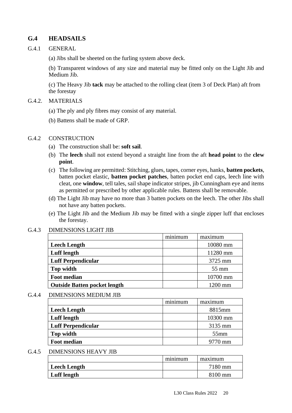## **G.4 HEADSAILS**

#### G.4.1 GENERAL

(a) Jibs shall be sheeted on the furling system above deck.

(b) Transparent windows of any size and material may be fitted only on the Light Jib and Medium Jib.

(c) The Heavy Jib **tack** may be attached to the rolling cleat (item 3 of Deck Plan) aft from the forestay

#### G.4.2. MATERIALS

- (a) The ply and ply fibres may consist of any material.
- (b) Battens shall be made of GRP.

#### G.4.2 CONSTRUCTION

- (a) The construction shall be: **soft sail**.
- (b) The **leech** shall not extend beyond a straight line from the aft **head point** to the **clew point**.
- (c) The following are permitted: Stitching, glues, tapes, corner eyes, hanks, **batten pockets**, batten pocket elastic, **batten pocket patches**, batten pocket end caps, leech line with cleat, one **window**, tell tales, sail shape indicator stripes, jib Cunningham eye and items as permitted or prescribed by other applicable rules. Battens shall be removable.
- (d) The Light Jib may have no more than 3 batten pockets on the leech. The other Jibs shall not have any batten pockets.
- (e) The Light Jib and the Medium Jib may be fitted with a single zipper luff that encloses the forestay.

#### G.4.3 DIMENSIONS LIGHT JIB

|                                     | minimum | maximum         |
|-------------------------------------|---------|-----------------|
| <b>Leech Length</b>                 |         | 10080 mm        |
| <b>Luff</b> length                  |         | 11280 mm        |
| <b>Luff Perpendicular</b>           |         | 3725 mm         |
| Top width                           |         | $55 \text{ mm}$ |
| <b>Foot median</b>                  |         | 10700 mm        |
| <b>Outside Batten pocket length</b> |         | $1200$ mm       |
|                                     |         |                 |

#### G.4.4 DIMENSIONS MEDIUM JIB

|                           | minimum | maximum  |
|---------------------------|---------|----------|
| <b>Leech Length</b>       |         | 8815mm   |
| Luff length               |         | 10300 mm |
| <b>Luff Perpendicular</b> |         | 3135 mm  |
| Top width                 |         | $55$ mm  |
| <b>Foot median</b>        |         | 9770 mm  |

#### G.4.5 DIMENSIONS HEAVY JIB

|                     | minimum | maximum |
|---------------------|---------|---------|
| <b>Leech Length</b> |         | 7180 mm |
| Luff length         |         | 8100 mm |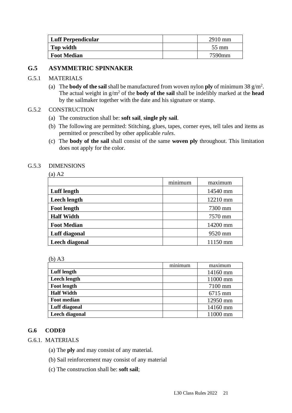| Luff Perpendicular | $2910$ mm       |
|--------------------|-----------------|
| Top width          | $55 \text{ mm}$ |
| <b>Foot Median</b> | 7590mm          |

## **G.5 ASYMMETRIC SPINNAKER**

### G.5.1 MATERIALS

(a) The **body of the sail** shall be manufactured from woven nylon **ply** of minimum 38  $g/m^2$ . The actual weight in g/m<sup>2</sup> of the **body of the sail** shall be indelibly marked at the **head** by the sailmaker together with the date and his signature or stamp.

#### G.5.2 CONSTRUCTION

- (a) The construction shall be: **soft sail**, **single ply sail**.
- (b) The following are permitted: Stitching, glues, tapes, corner eyes, tell tales and items as permitted or prescribed by other applicable *rules*.
- (c) The **body of the sail** shall consist of the same **woven ply** throughout. This limitation does not apply for the color.

#### G.5.3 DIMENSIONS

|                     | minimum | maximum  |
|---------------------|---------|----------|
| <b>Luff</b> length  |         | 14540 mm |
| <b>Leech length</b> |         | 12210 mm |
| <b>Foot length</b>  |         | 7300 mm  |
| <b>Half Width</b>   |         | 7570 mm  |
| <b>Foot Median</b>  |         | 14200 mm |
| Luff diagonal       |         | 9520 mm  |
| Leech diagonal      |         | 11150 mm |

| ٧ |  |
|---|--|

|                     | minimum | maximum  |
|---------------------|---------|----------|
| Luff length         |         | 14160 mm |
| <b>Leech length</b> |         | 11000 mm |
| Foot length         |         | 7100 mm  |
| <b>Half Width</b>   |         | 6715 mm  |
| <b>Foot median</b>  |         | 12950 mm |
| Luff diagonal       |         | 14160 mm |
| Leech diagonal      |         | 11000 mm |

#### **G.6 CODE0**

- G.6.1. MATERIALS
	- (a) The **ply** and may consist of any material.
	- (b) Sail reinforcement may consist of any material
	- (c) The construction shall be: **soft sail**;